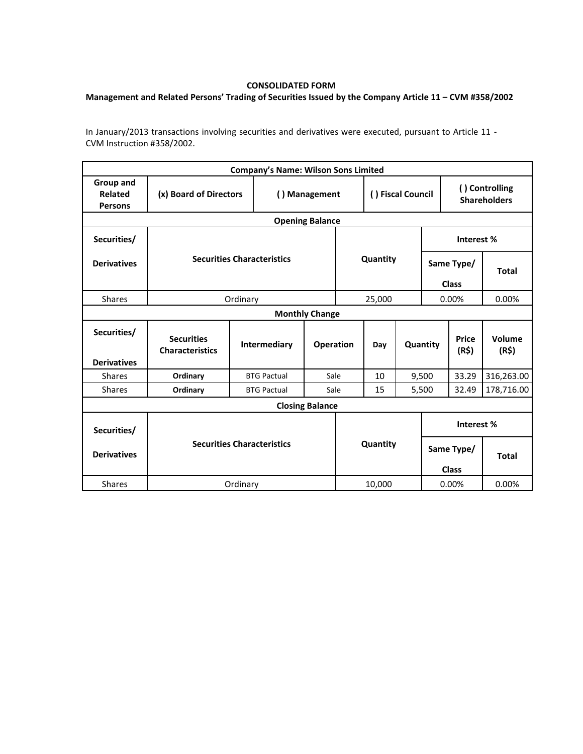## **CONSOLIDATED FORM**

## **Management and Related Persons' Trading of Securities Issued by the Company Article 11 – CVM #358/2002**

In January/2013 transactions involving securities and derivatives were executed, pursuant to Article 11 - CVM Instruction #358/2002.

|                                               |                                             |               | <b>Company's Name: Wilson Sons Limited</b> |      |                       |          |       |                                       |                                   |                 |  |
|-----------------------------------------------|---------------------------------------------|---------------|--------------------------------------------|------|-----------------------|----------|-------|---------------------------------------|-----------------------------------|-----------------|--|
| Group and<br><b>Related</b><br><b>Persons</b> | (x) Board of Directors                      | () Management |                                            |      | () Fiscal Council     |          |       | () Controlling<br><b>Shareholders</b> |                                   |                 |  |
| <b>Opening Balance</b>                        |                                             |               |                                            |      |                       |          |       |                                       |                                   |                 |  |
| Securities/                                   | <b>Securities Characteristics</b>           |               |                                            |      |                       |          |       | Interest %                            |                                   |                 |  |
| <b>Derivatives</b>                            |                                             |               |                                            |      |                       | Quantity |       |                                       | Same Type/                        | <b>Total</b>    |  |
| <b>Shares</b>                                 |                                             | 25,000        |                                            |      | <b>Class</b><br>0.00% |          | 0.00% |                                       |                                   |                 |  |
| Ordinary<br><b>Monthly Change</b>             |                                             |               |                                            |      |                       |          |       |                                       |                                   |                 |  |
| Securities/<br><b>Derivatives</b>             | <b>Securities</b><br><b>Characteristics</b> |               | <b>Intermediary</b><br><b>Operation</b>    |      |                       | Day      |       | Quantity                              | <b>Price</b><br>(R <sup>2</sup> ) | Volume<br>(R\$) |  |
| <b>Shares</b>                                 | Ordinary                                    |               | Sale<br><b>BTG Pactual</b>                 |      | 10                    |          |       | 9,500                                 | 33.29                             | 316,263.00      |  |
| <b>Shares</b>                                 | Ordinary                                    |               | <b>BTG Pactual</b>                         | Sale | 15                    |          | 5,500 | 32.49                                 | 178,716.00                        |                 |  |
|                                               | <b>Closing Balance</b>                      |               |                                            |      |                       |          |       |                                       |                                   |                 |  |
| Securities/                                   | <b>Securities Characteristics</b>           |               |                                            |      |                       |          |       |                                       | Interest %                        |                 |  |
| <b>Derivatives</b>                            |                                             |               |                                            |      |                       | Quantity |       | Same Type/<br><b>Class</b>            |                                   | <b>Total</b>    |  |
| <b>Shares</b>                                 | Ordinary                                    |               |                                            |      | 10,000                |          |       | 0.00%                                 |                                   | 0.00%           |  |